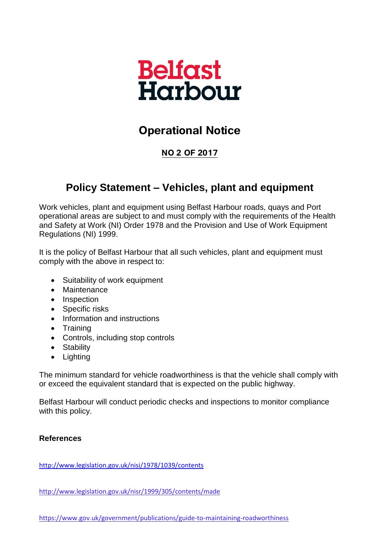

# **Operational Notice**

### **NO 2 OF 2017**

## **Policy Statement – Vehicles, plant and equipment**

Work vehicles, plant and equipment using Belfast Harbour roads, quays and Port operational areas are subject to and must comply with the requirements of the Health and Safety at Work (NI) Order 1978 and the Provision and Use of Work Equipment Regulations (NI) 1999.

It is the policy of Belfast Harbour that all such vehicles, plant and equipment must comply with the above in respect to:

- Suitability of work equipment
- Maintenance
- Inspection
- Specific risks
- Information and instructions
- Training
- Controls, including stop controls
- Stability
- Lighting

The minimum standard for vehicle roadworthiness is that the vehicle shall comply with or exceed the equivalent standard that is expected on the public highway.

Belfast Harbour will conduct periodic checks and inspections to monitor compliance with this policy.

### **References**

<http://www.legislation.gov.uk/nisi/1978/1039/contents>

<http://www.legislation.gov.uk/nisr/1999/305/contents/made>